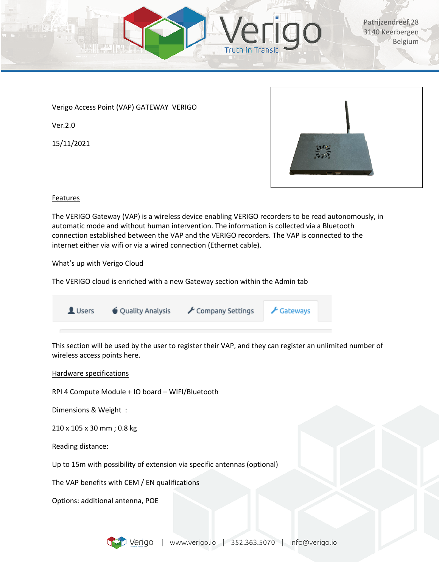

Verigo Access Point (VAP) GATEWAY VERIGO

Ver.2.0

15/11/2021



# Features

The VERIGO Gateway (VAP) is a wireless device enabling VERIGO recorders to be read autonomously, in automatic mode and without human intervention. The information is collected via a Bluetooth connection established between the VAP and the VERIGO recorders. The VAP is connected to the internet either via wifi or via a wired connection (Ethernet cable).

# What's up with Verigo Cloud

The VERIGO cloud is enriched with a new Gateway section within the Admin tab

| Users <b>v</b> Quality Analysis | ✔ Company Settings ▶ Gateways |  |
|---------------------------------|-------------------------------|--|
|                                 |                               |  |

This section will be used by the user to register their VAP, and they can register an unlimited number of wireless access points here.

# Hardware specifications

RPI 4 Compute Module + IO board – WIFI/Bluetooth

Dimensions & Weight :

210 x 105 x 30 mm ; 0.8 kg

Reading distance:

Up to 15m with possibility of extension via specific antennas (optional)

The VAP benefits with CEM / EN qualifications

Options: additional antenna, POE

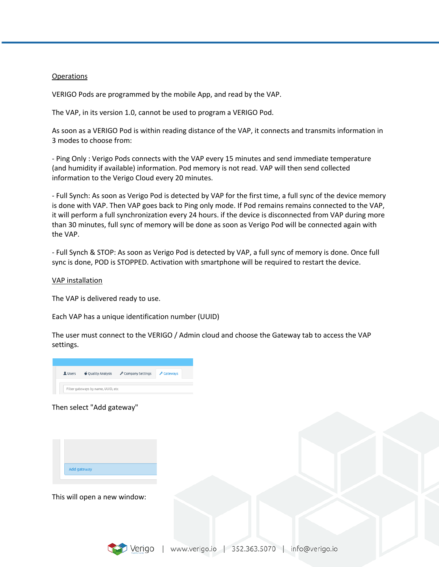#### Operations

VERIGO Pods are programmed by the mobile App, and read by the VAP.

The VAP, in its version 1.0, cannot be used to program a VERIGO Pod.

As soon as a VERIGO Pod is within reading distance of the VAP, it connects and transmits information in 3 modes to choose from:

- Ping Only : Verigo Pods connects with the VAP every 15 minutes and send immediate temperature (and humidity if available) information. Pod memory is not read. VAP will then send collected information to the Verigo Cloud every 20 minutes.

- Full Synch: As soon as Verigo Pod is detected by VAP for the first time, a full sync of the device memory is done with VAP. Then VAP goes back to Ping only mode. If Pod remains remains connected to the VAP, it will perform a full synchronization every 24 hours. if the device is disconnected from VAP during more than 30 minutes, full sync of memory will be done as soon as Verigo Pod will be connected again with the VAP.

- Full Synch & STOP: As soon as Verigo Pod is detected by VAP, a full sync of memory is done. Once full sync is done, POD is STOPPED. Activation with smartphone will be required to restart the device.

VAP installation

The VAP is delivered ready to use.

Each VAP has a unique identification number (UUID)

The user must connect to the VERIGO / Admin cloud and choose the Gateway tab to access the VAP settings.



### Then select "Add gateway"



This will open a new window:

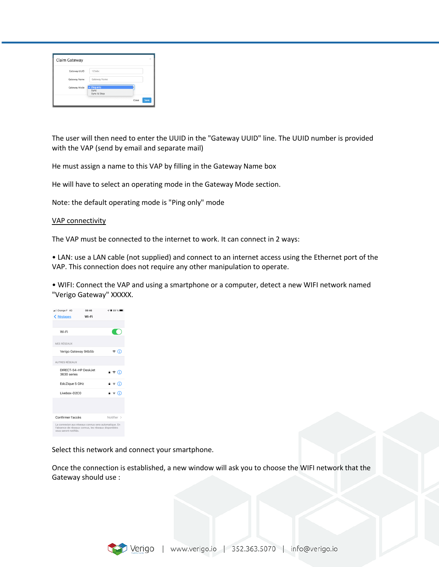| Claim Gateway |                                         |       | $\times$ |
|---------------|-----------------------------------------|-------|----------|
| Gateway UUID  | 123abc                                  |       |          |
| Gateway Name  | Gateway Name                            |       |          |
| Gateway Mode  | $\vee$ Ping only<br>Sync<br>Sync & Stop |       |          |
|               |                                         | Close | Save     |

The user will then need to enter the UUID in the "Gateway UUID" line. The UUID number is provided with the VAP (send by email and separate mail)

He must assign a name to this VAP by filling in the Gateway Name box

He will have to select an operating mode in the Gateway Mode section.

Note: the default operating mode is "Ping only" mode

#### VAP connectivity

The VAP must be connected to the internet to work. It can connect in 2 ways:

• LAN: use a LAN cable (not supplied) and connect to an internet access using the Ethernet port of the VAP. This connection does not require any other manipulation to operate.

• WIFI: Connect the VAP and using a smartphone or a computer, detect a new WIFI network named "Verigo Gateway" XXXXX.

| all Orange F 4G                                                                                                                       | 08:46 | $\neg$ 89 %        |  |  |
|---------------------------------------------------------------------------------------------------------------------------------------|-------|--------------------|--|--|
| < Réglages                                                                                                                            | Wi-Fi |                    |  |  |
|                                                                                                                                       |       |                    |  |  |
| Wi-Fi                                                                                                                                 |       |                    |  |  |
| MES RÉSEAUX                                                                                                                           |       |                    |  |  |
| Verigo Gateway 94b5b                                                                                                                  |       | ຈ (i)              |  |  |
| AUTRES RÉSEAUX                                                                                                                        |       |                    |  |  |
| DIRECT-54-HP DeskJet<br>3630 series                                                                                                   |       | မ କ (i)            |  |  |
| EdcZique 5 GHz                                                                                                                        |       | $\bullet \in (i)$  |  |  |
| Livebox-D2C0                                                                                                                          |       | ต <del>จ</del> (i) |  |  |
|                                                                                                                                       |       |                    |  |  |
| Confirmer l'accès<br>Notifier >                                                                                                       |       |                    |  |  |
| La connexion aux réseaux connus sera automatique. En<br>l'absence de réseaux connus, les réseaux disponibles<br>vous seront notifiés. |       |                    |  |  |

Select this network and connect your smartphone.

Once the connection is established, a new window will ask you to choose the WIFI network that the Gateway should use :

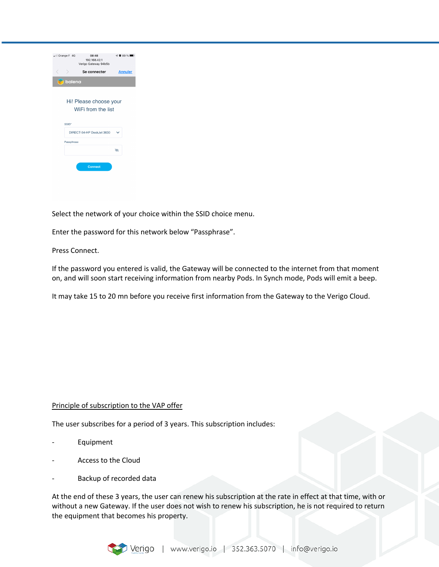| . Il Orange F 4G                             | 08:48<br>192.168.42.1<br>Verigo Gateway 94b5b | $\n  7889%$    |  |  |  |  |
|----------------------------------------------|-----------------------------------------------|----------------|--|--|--|--|
| ₹<br>$\rightarrow$                           | Se connecter                                  | <b>Annuler</b> |  |  |  |  |
| balena                                       |                                               |                |  |  |  |  |
| Hi! Please choose your<br>WiFi from the list |                                               |                |  |  |  |  |
| SSID <sup>+</sup>                            |                                               |                |  |  |  |  |
|                                              | DIRECT-54-HP DeskJet 3630                     |                |  |  |  |  |
| Passphrase                                   |                                               |                |  |  |  |  |
|                                              |                                               | Á              |  |  |  |  |
|                                              | <b>Connect</b>                                |                |  |  |  |  |

Select the network of your choice within the SSID choice menu.

Enter the password for this network below "Passphrase".

Press Connect.

If the password you entered is valid, the Gateway will be connected to the internet from that moment on, and will soon start receiving information from nearby Pods. In Synch mode, Pods will emit a beep.

It may take 15 to 20 mn before you receive first information from the Gateway to the Verigo Cloud.

### Principle of subscription to the VAP offer

The user subscribes for a period of 3 years. This subscription includes:

- **Equipment**
- Access to the Cloud
- Backup of recorded data

At the end of these 3 years, the user can renew his subscription at the rate in effect at that time, with or without a new Gateway. If the user does not wish to renew his subscription, he is not required to return the equipment that becomes his property.